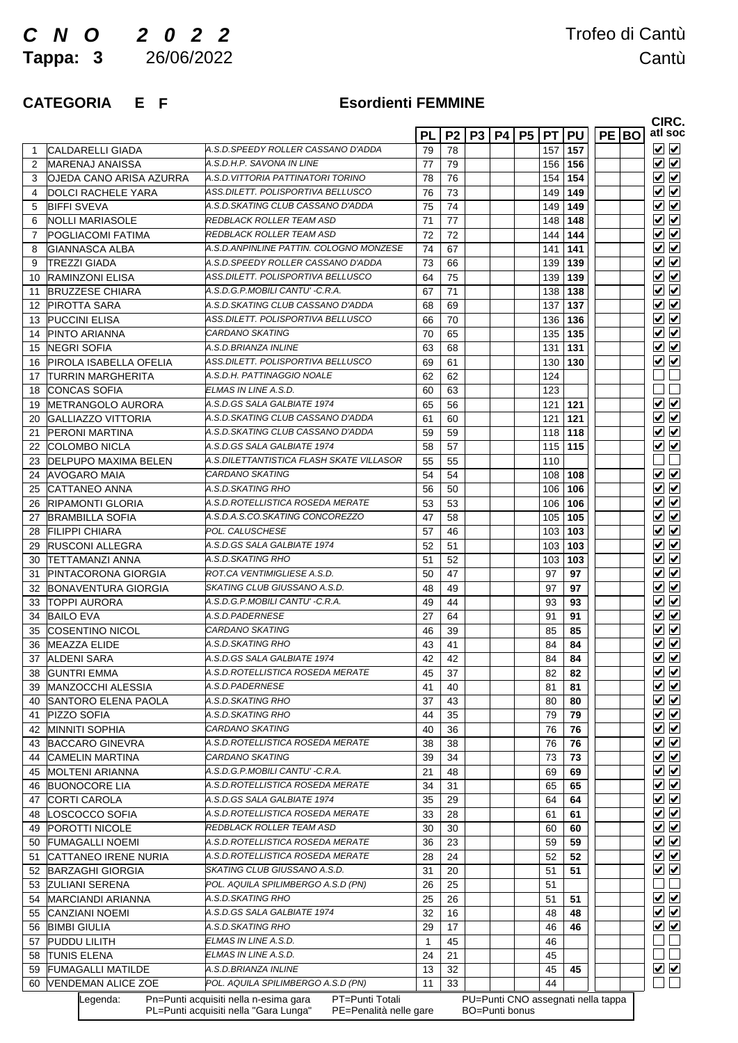# *C N O 2 0 2 2*

**Tappa: 3**

## Trofeo di Cantù 26/06/2022 Cantù

### **CATEGORIA E F Esordienti**

### **Esordienti FEMMINE**

|                                     |                                          | <b>PL</b>    | P <sub>2</sub> | P <sub>3</sub> | <b>P4   P5  </b> |     | <b>PT PU</b> | <b>PE BO</b> |  |
|-------------------------------------|------------------------------------------|--------------|----------------|----------------|------------------|-----|--------------|--------------|--|
| CALDARELLI GIADA                    | A.S.D. SPEEDY ROLLER CASSANO D'ADDA      | 79           | 78             |                |                  | 157 | 157          |              |  |
| <b>IMARENAJ ANAISSA</b>             | A.S.D.H.P. SAVONA IN LINE                | 77           | 79             |                |                  | 156 | 156          |              |  |
| OJEDA CANO ARISA AZURRA             | A.S.D. VITTORIA PATTINATORI TORINO       | 78           | 76             |                |                  | 154 | 154          |              |  |
| <b>DOLCI RACHELE YARA</b>           | ASS.DILETT. POLISPORTIVA BELLUSCO        | 76           | 73             |                |                  | 149 | 149          |              |  |
| <b>BIFFI SVEVA</b>                  | A.S.D.SKATING CLUB CASSANO D'ADDA        | 75           | 74             |                |                  | 149 | 149          |              |  |
| INOLLI MARIASOLE                    | REDBLACK ROLLER TEAM ASD                 | 71           | 77             |                |                  | 148 | 148          |              |  |
| <b>POGLIACOMI FATIMA</b>            | REDBLACK ROLLER TEAM ASD                 | 72           | 72             |                |                  | 144 | 144          |              |  |
| <b>GIANNASCA ALBA</b>               | A.S.D. ANPINLINE PATTIN, COLOGNO MONZESE | 74           | 67             |                |                  | 141 | 141          |              |  |
| <b>TREZZI GIADA</b>                 | A.S.D.SPEEDY ROLLER CASSANO D'ADDA       | 73           | 66             |                |                  | 139 | 139          |              |  |
| <b>RAMINZONI ELISA</b>              | ASS.DILETT. POLISPORTIVA BELLUSCO        | 64           | 75             |                |                  | 139 | 139          |              |  |
| <b>BRUZZESE CHIARA</b>              | A.S.D.G.P.MOBILI CANTU' -C.R.A.          | 67           | 71             |                |                  | 138 | 138          |              |  |
| <b>PIROTTA SARA</b>                 | A.S.D.SKATING CLUB CASSANO D'ADDA        | 68           | 69             |                |                  | 137 | 137          |              |  |
| <b>PUCCINI ELISA</b>                | ASS.DILETT. POLISPORTIVA BELLUSCO        | 66           | 70             |                |                  | 136 | 136          |              |  |
| <b>PINTO ARIANNA</b><br>14          | CARDANO SKATING                          | 70           | 65             |                |                  | 135 | 135          |              |  |
| <b>NEGRI SOFIA</b><br>15            | A.S.D.BRIANZA INLINE                     | 63           | 68             |                |                  | 131 | 131          |              |  |
| <b>PIROLA ISABELLA OFELIA</b>       | ASS.DILETT. POLISPORTIVA BELLUSCO        | 69           | 61             |                |                  | 130 | 130          |              |  |
| <b>TURRIN MARGHERITA</b><br>17      | A.S.D.H. PATTINAGGIO NOALE               | 62           | 62             |                |                  | 124 |              |              |  |
| <b>CONCAS SOFIA</b><br>18           | ELMAS IN LINE A.S.D.                     | 60           | 63             |                |                  | 123 |              |              |  |
| IMETRANGOLO AURORA                  | A.S.D.GS SALA GALBIATE 1974              | 65           | 56             |                |                  | 121 | 121          |              |  |
| 19<br>GALLIAZZO VITTORIA<br>20      | A.S.D.SKATING CLUB CASSANO D'ADDA        | 61           | 60             |                |                  | 121 | 121          |              |  |
| <b>IPERONI MARTINA</b>              | A.S.D.SKATING CLUB CASSANO D'ADDA        | 59           | 59             |                |                  | 118 | 118          |              |  |
| <b>COLOMBO NICLA</b><br>22          | A.S.D.GS SALA GALBIATE 1974              | 58           | 57             |                |                  | 115 | 115          |              |  |
| <b>DELPUPO MAXIMA BELEN</b><br>23   | A.S.DILETTANTISTICA FLASH SKATE VILLASOR | 55           | 55             |                |                  | 110 |              |              |  |
| <b>AVOGARO MAIA</b><br>24           | CARDANO SKATING                          | 54           | 54             |                |                  | 108 | 108          |              |  |
| ICATTANEO ANNA                      | A.S.D.SKATING RHO                        | 56           | 50             |                |                  | 106 | 106          |              |  |
| 25<br><b>RIPAMONTI GLORIA</b><br>26 | A.S.D.ROTELLISTICA ROSEDA MERATE         | 53           | 53             |                |                  | 106 | 106          |              |  |
|                                     | A.S.D.A.S.CO.SKATING CONCOREZZO          |              |                |                |                  |     |              |              |  |
| <b>BRAMBILLA SOFIA</b>              | <b>POL. CALUSCHESE</b>                   | 47           | 58             |                |                  | 105 | 105          |              |  |
| <b>FILIPPI CHIARA</b>               | A.S.D.GS SALA GALBIATE 1974              | 57           | 46             |                |                  | 103 | 103          |              |  |
| <b>RUSCONI ALLEGRA</b><br>29        |                                          | 52           | 51             |                |                  | 103 | 103          |              |  |
| <b>TETTAMANZI ANNA</b><br>30<br>31  | A.S.D.SKATING RHO                        | 51           | 52             |                |                  | 103 | 103          |              |  |
| PINTACORONA GIORGIA                 | ROT.CA VENTIMIGLIESE A.S.D.              | 50           | 47             |                |                  | 97  | 97           |              |  |
| <b>BONAVENTURA GIORGIA</b><br>32    | SKATING CLUB GIUSSANO A.S.D.             | 48           | 49             |                |                  | 97  | 97           |              |  |
| <b>TOPPI AURORA</b><br>33           | A.S.D.G.P.MOBILI CANTU' -C.R.A.          | 49           | 44             |                |                  | 93  | 93           |              |  |
| <b>BAILO EVA</b><br>34              | A.S.D.PADERNESE                          | 27           | 64             |                |                  | 91  | 91           |              |  |
| <b>COSENTINO NICOL</b><br>35        | <i>CARDANO SKATING</i>                   | 46           | 39             |                |                  | 85  | 85           |              |  |
| <b>MEAZZA ELIDE</b><br>36           | A.S.D.SKATING RHO                        | 43           | 41             |                |                  | 84  | 84           |              |  |
| 37<br><b>ALDENI SARA</b>            | A.S.D.GS SALA GALBIATE 1974              | 42           | 42             |                |                  | 84  | 84           |              |  |
| <b>GUNTRI EMMA</b><br>38            | A.S.D.ROTELLISTICA ROSEDA MERATE         | 45           | 37             |                |                  | 82  | 82           |              |  |
| MANZOCCHI ALESSIA<br>39             | A.S.D.PADERNESE                          | 41           | 40             |                |                  | 81  | 81           |              |  |
| SANTORO ELENA PAOLA<br>40           | A.S.D.SKATING RHO                        | 37           | 43             |                |                  | 80  | 80           |              |  |
| PIZZO SOFIA                         | A.S.D.SKATING RHO                        | 44           | 35             |                |                  | 79  | 79           |              |  |
| <b>MINNITI SOPHIA</b><br>42         | CARDANO SKATING                          | 40           | 36             |                |                  | 76  | 76           |              |  |
| <b>BACCARO GINEVRA</b><br>43        | A.S.D.ROTELLISTICA ROSEDA MERATE         | 38           | 38             |                |                  | 76  | 76           |              |  |
| <b>CAMELIN MARTINA</b><br>44        | CARDANO SKATING                          | 39           | 34             |                |                  | 73  | 73           |              |  |
| <b>MOLTENI ARIANNA</b>              | A.S.D.G.P.MOBILI CANTU' -C.R.A.          | 21           | 48             |                |                  | 69  | 69           |              |  |
| <b>BUONOCORE LIA</b>                | A.S.D.ROTELLISTICA ROSEDA MERATE         | 34           | 31             |                |                  | 65  | 65           |              |  |
| <b>CORTI CAROLA</b>                 | A.S.D.GS SALA GALBIATE 1974              | 35           | 29             |                |                  | 64  | 64           |              |  |
| LOSCOCCO SOFIA                      | A.S.D.ROTELLISTICA ROSEDA MERATE         | 33           | 28             |                |                  | 61  | 61           |              |  |
| 48<br>POROTTI NICOLE<br>49          | REDBLACK ROLLER TEAM ASD                 | 30           | 30             |                |                  | 60  | 60           |              |  |
| <b>FUMAGALLI NOEMI</b>              | A.S.D.ROTELLISTICA ROSEDA MERATE         | 36           | 23             |                |                  | 59  | 59           |              |  |
| <b>CATTANEO IRENE NURIA</b>         | A.S.D.ROTELLISTICA ROSEDA MERATE         | 28           | 24             |                |                  | 52  | 52           |              |  |
| <b>BARZAGHI GIORGIA</b>             | SKATING CLUB GIUSSANO A.S.D.             | 31           | 20             |                |                  | 51  | 51           |              |  |
| <b>ZULIANI SERENA</b>               | POL. AQUILA SPILIMBERGO A.S.D (PN)       | 26           | 25             |                |                  | 51  |              |              |  |
| 53<br><b>MARCIANDI ARIANNA</b>      | A.S.D.SKATING RHO                        | 25           | 26             |                |                  | 51  | 51           |              |  |
| 54                                  | A.S.D.GS SALA GALBIATE 1974              |              |                |                |                  |     |              |              |  |
| <b>CANZIANI NOEMI</b>               |                                          | 32           | 16             |                |                  | 48  | 48           |              |  |
| <b>BIMBI GIULIA</b><br>56           | A.S.D.SKATING RHO                        | 29           | 17             |                |                  | 46  | 46           |              |  |
| PUDDU LILITH<br>57                  | ELMAS IN LINE A.S.D.                     | $\mathbf{1}$ | 45             |                |                  | 46  |              |              |  |
| <b>TUNIS ELENA</b><br>58            | ELMAS IN LINE A.S.D.                     | 24           | 21             |                |                  | 45  |              |              |  |
| <b>FUMAGALLI MATILDE</b><br>59      | A.S.D.BRIANZA INLINE                     | 13           | 32             |                |                  | 45  | 45           |              |  |
| <b>VENDEMAN ALICE ZOE</b><br>60     | POL. AQUILA SPILIMBERGO A.S.D (PN)       | 11           | 33             |                |                  | 44  |              |              |  |